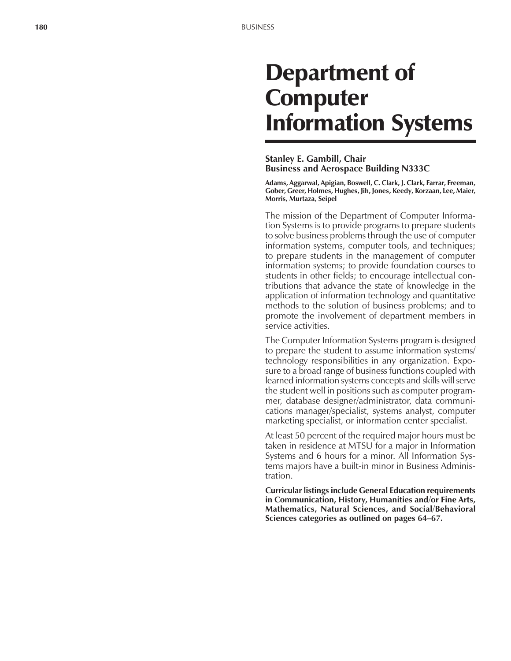# Department of **Computer** Information Systems

### **Stanley E. Gambill, Chair Business and Aerospace Building N333C**

**Adams, Aggarwal, Apigian, Boswell, C. Clark, J. Clark, Farrar, Freeman, Gober, Greer, Holmes, Hughes, Jih, Jones, Keedy, Korzaan, Lee, Maier, Morris, Murtaza, Seipel**

The mission of the Department of Computer Information Systems is to provide programs to prepare students to solve business problems through the use of computer information systems, computer tools, and techniques; to prepare students in the management of computer information systems; to provide foundation courses to students in other fields; to encourage intellectual contributions that advance the state of knowledge in the application of information technology and quantitative methods to the solution of business problems; and to promote the involvement of department members in service activities.

The Computer Information Systems program is designed to prepare the student to assume information systems/ technology responsibilities in any organization. Exposure to a broad range of business functions coupled with learned information systems concepts and skills will serve the student well in positions such as computer programmer, database designer/administrator, data communications manager/specialist, systems analyst, computer marketing specialist, or information center specialist.

At least 50 percent of the required major hours must be taken in residence at MTSU for a major in Information Systems and 6 hours for a minor. All Information Systems majors have a built-in minor in Business Administration.

**Curricular listings include General Education requirements in Communication, History, Humanities and/or Fine Arts, Mathematics, Natural Sciences, and Social/Behavioral** Sciences categories as outlined on pages 64–67.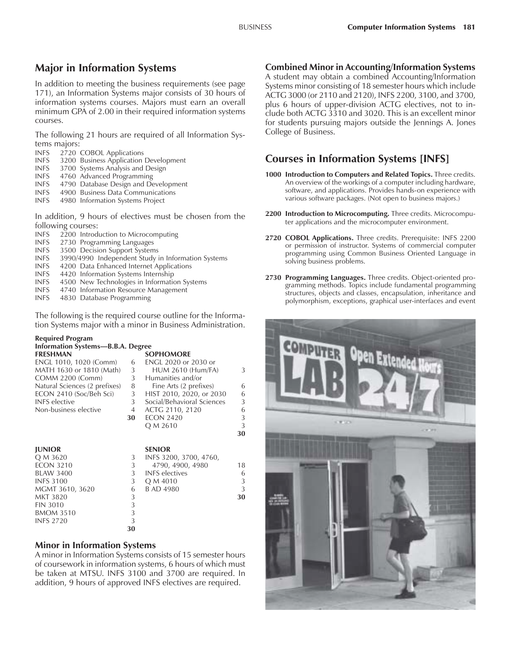# **Major in Information Systems**

In addition to meeting the business requirements (see page 171), an Information Systems major consists of 30 hours of information systems courses. Majors must earn an overall minimum GPA of 2.00 in their required information systems courses.

The following 21 hours are required of all Information Systems majors:

- INFS 2720 COBOL Applications<br>INFS 3200 Business Application
- 3200 Business Application Development
- INFS 3700 Systems Analysis and Design
- INFS 4760 Advanced Programming
- INFS 4790 Database Design and Development
- INFS 4900 Business Data Communications
- INFS 4980 Information Systems Project

In addition, 9 hours of electives must be chosen from the following courses:<br>INES 2200 Introd

- 2200 Introduction to Microcomputing
- INFS 2730 Programming Languages
- INFS 3500 Decision Support Systems<br>INFS 3990/4990 Independent Study
- 3990/4990 Independent Study in Information Systems
- INFS 4200 Data Enhanced Internet Applications
- INFS 4420 Information Systems Internship
- INFS 4500 New Technologies in Information Systems
- INFS 4740 Information Resource Management
- INFS 4830 Database Programming

The following is the required course outline for the Information Systems major with a minor in Business Administration.

#### **Required Program Information Systems-B.B.A. Degree**

| <b>FRESHMAN</b>               |    | <b>SOPHOMORE</b>           |    |
|-------------------------------|----|----------------------------|----|
| ENGL 1010, 1020 (Comm)        | 6  | ENGL 2020 or 2030 or       |    |
| MATH 1630 or 1810 (Math)      | 3  | <b>HUM 2610 (Hum/FA)</b>   | 3  |
| <b>COMM 2200 (Comm)</b>       | 3  | Humanities and/or          |    |
| Natural Sciences (2 prefixes) | 8  | Fine Arts (2 prefixes)     | 6  |
| ECON 2410 (Soc/Beh Sci)       | 3  | HIST 2010, 2020, or 2030   | 6  |
| <b>INFS</b> elective          | 3  | Social/Behavioral Sciences | 3  |
| Non-business elective         | 4  | ACTG 2110, 2120            | 6  |
|                               | 30 | <b>ECON 2420</b>           | 3  |
|                               |    | Q M 2610                   | 3  |
|                               |    |                            | 30 |
|                               |    |                            |    |

|    | <b>SENIOR</b>          |    |
|----|------------------------|----|
| 3  | INFS 3200, 3700, 4760, |    |
| 3  | 4790, 4900, 4980       | 18 |
|    | <b>INFS</b> electives  | 6  |
| 3  | Q M 4010               | 3  |
| 6  | B AD 4980              | 3  |
| 3  |                        | 30 |
| 3  |                        |    |
| 3  |                        |    |
| 3  |                        |    |
| 30 |                        |    |
|    |                        |    |

## **Minor in Information Systems**

A minor in Information Systems consists of 15 semester hours of coursework in information systems, 6 hours of which must be taken at MTSU. INFS 3100 and 3700 are required. In addition, 9 hours of approved INFS electives are required.

## **Combined Minor in Accounting/Information Systems**

A student may obtain a combined Accounting/Information Systems minor consisting of 18 semester hours which include ACTG 3000 (or 2110 and 2120), INFS 2200, 3100, and 3700, plus 6 hours of upper-division ACTG electives, not to include both ACTG 3310 and 3020. This is an excellent minor for students pursuing majors outside the Jennings A. Jones College of Business.

# **Courses in Information Systems [INFS]**

- **1000 Introduction to Computers and Related Topics.** Three credits. An overview of the workings of a computer including hardware, software, and applications. Provides hands-on experience with various software packages. (Not open to business majors.)
- **2200 Introduction to Microcomputing.** Three credits. Microcomputer applications and the microcomputer environment.
- **2720 COBOL Applications.** Three credits. Prerequisite: INFS 2200 or permission of instructor. Systems of commercial computer programming using Common Business Oriented Language in solving business problems.
- **2730 Programming Languages.** Three credits. Object-oriented programming methods. Topics include fundamental programming structures, objects and classes, encapsulation, inheritance and polymorphism, exceptions, graphical user-interfaces and event